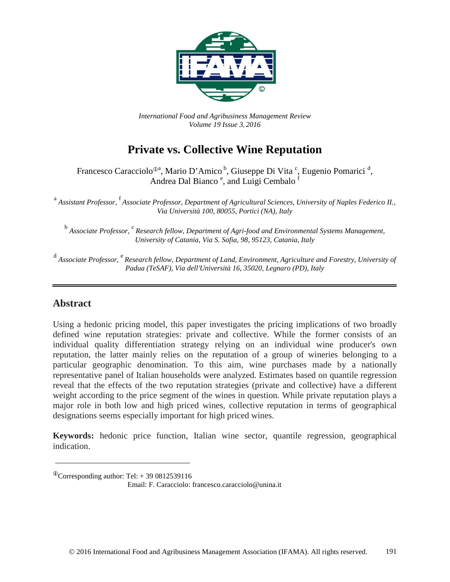

*International Food and Agribusiness Management Review Volume 19 Issue 3*, *2016*

# **Private vs. Collective Wine Reputation**

Francesco Caracciolo<sup>®a</sup>, Mario D'Amico<sup>b</sup>, Giuseppe Di Vita<sup>c</sup>, Eugenio Pomarici<sup>d</sup>, Andrea Dal Bianco<sup>e</sup>, and Luigi Cembalo<sup>f</sup>

<sup>a</sup> *Assistant Professor,* <sup>f</sup>*Associate Professor, Department of Agricultural Sciences, University of Naples Federico II., Via Università 100, 80055, Portici (NA), Italy*

<sup>b</sup> Associate Professor, <sup>c</sup> Research fellow, Department of Agri-food and Environmental Systems Management, *University of Catania, Via S. Sofia, 98, 95123, Catania, Italy*

<sup>d</sup> Associate Professor, <sup>e</sup> Research fellow, Department of Land, Environment, Agriculture and Forestry, University of *Padua (TeSAF), Via dell'Università 16, 35020, Legnaro (PD), Italy*

#### **Abstract**

Using a hedonic pricing model, this paper investigates the pricing implications of two broadly defined wine reputation strategies: private and collective. While the former consists of an individual quality differentiation strategy relying on an individual wine producer's own reputation, the latter mainly relies on the reputation of a group of wineries belonging to a particular geographic denomination. To this aim, wine purchases made by a nationally representative panel of Italian households were analyzed. Estimates based on quantile regression reveal that the effects of the two reputation strategies (private and collective) have a different weight according to the price segment of the wines in question. While private reputation plays a major role in both low and high priced wines, collective reputation in terms of geographical designations seems especially important for high priced wines.

**Keywords:** hedonic price function, Italian wine sector, quantile regression, geographical indication.

 $^{\circ}$ Corresponding author: Tel: +39 0812539116

Email: F. Caracciolo: francesco.caracciolo@unina.it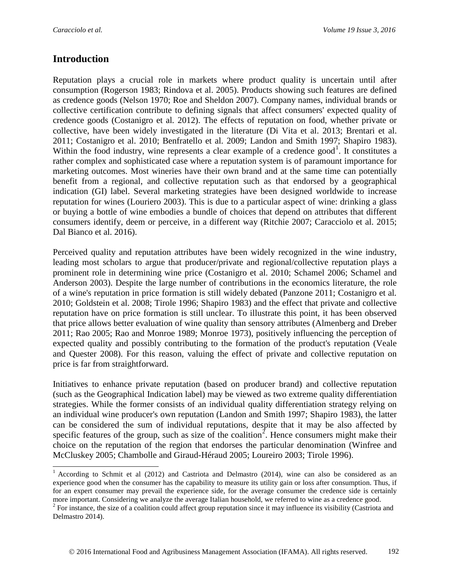#### **Introduction**

Reputation plays a crucial role in markets where product quality is uncertain until after consumption (Rogerson 1983; Rindova et al. 2005). Products showing such features are defined as credence goods (Nelson 1970; Roe and Sheldon 2007). Company names, individual brands or collective certification contribute to defining signals that affect consumers' expected quality of credence goods (Costanigro et al*.* 2012). The effects of reputation on food, whether private or collective, have been widely investigated in the literature (Di Vita et al. 2013; Brentari et al. 2011; Costanigro et al. 2010; Benfratello et al. 2009; Landon and Smith 1997; Shapiro 1983). Within the food industry, wine represents a clear example of a credence  $good<sup>1</sup>$  $good<sup>1</sup>$  $good<sup>1</sup>$ . It constitutes a rather complex and sophisticated case where a reputation system is of paramount importance for marketing outcomes. Most wineries have their own brand and at the same time can potentially benefit from a regional, and collective reputation such as that endorsed by a geographical indication (GI) label. Several marketing strategies have been designed worldwide to increase reputation for wines (Louriero 2003). This is due to a particular aspect of wine: drinking a glass or buying a bottle of wine embodies a bundle of choices that depend on attributes that different consumers identify, deem or perceive, in a different way (Ritchie 2007; Caracciolo et al. 2015; Dal Bianco et al. 2016).

Perceived quality and reputation attributes have been widely recognized in the wine industry, leading most scholars to argue that producer/private and regional/collective reputation plays a prominent role in determining wine price (Costanigro et al. 2010; Schamel 2006; Schamel and Anderson 2003). Despite the large number of contributions in the economics literature, the role of a wine's reputation in price formation is still widely debated (Panzone 2011; Costanigro et al*.* 2010; Goldstein et al. 2008; Tirole 1996; Shapiro 1983) and the effect that private and collective reputation have on price formation is still unclear. To illustrate this point, it has been observed that price allows better evaluation of wine quality than sensory attributes (Almenberg and Dreber 2011; Rao 2005; Rao and Monroe 1989; Monroe 1973), positively influencing the perception of expected quality and possibly contributing to the formation of the product's reputation (Veale and Quester 2008). For this reason, valuing the effect of private and collective reputation on price is far from straightforward.

Initiatives to enhance private reputation (based on producer brand) and collective reputation (such as the Geographical Indication label) may be viewed as two extreme quality differentiation strategies. While the former consists of an individual quality differentiation strategy relying on an individual wine producer's own reputation (Landon and Smith 1997; Shapiro 1983), the latter can be considered the sum of individual reputations, despite that it may be also affected by specific features of the group, such as size of the coalition<sup>[2](#page-1-1)</sup>. Hence consumers might make their choice on the reputation of the region that endorses the particular denomination (Winfree and McCluskey 2005; Chambolle and Giraud-Héraud 2005; Loureiro 2003; Tirole 1996).

<span id="page-1-1"></span><span id="page-1-0"></span><sup>&</sup>lt;sup>1</sup> According to Schmit et al (2012) and Castriota and Delmastro (2014), wine can also be considered as an experience good when the consumer has the capability to measure its utility gain or loss after consumption. Thus, if for an expert consumer may prevail the experience side, for the average consumer the credence side is certainly more important. Considering we analyze the average Italian household, we referred to wine as a credence good.  $2$  For instance, the size of a coalition could affect group reputation since it may influence its visibility (Castriota and Delmastro 2014).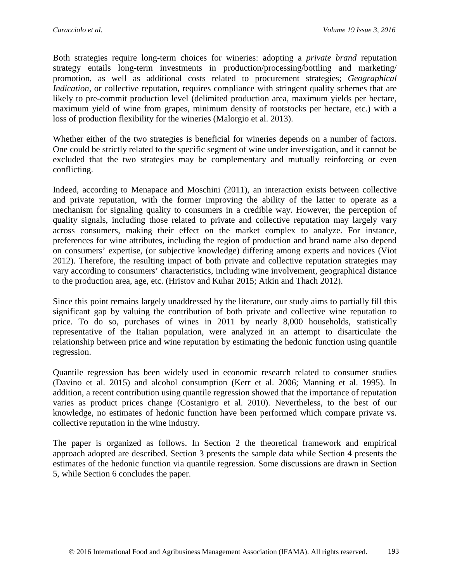Both strategies require long-term choices for wineries: adopting a *private brand* reputation strategy entails long-term investments in production/processing/bottling and marketing/ promotion, as well as additional costs related to procurement strategies; *Geographical Indication*, or collective reputation, requires compliance with stringent quality schemes that are likely to pre-commit production level (delimited production area, maximum yields per hectare, maximum yield of wine from grapes, minimum density of rootstocks per hectare, etc.) with a loss of production flexibility for the wineries (Malorgio et al. 2013).

Whether either of the two strategies is beneficial for wineries depends on a number of factors. One could be strictly related to the specific segment of wine under investigation, and it cannot be excluded that the two strategies may be complementary and mutually reinforcing or even conflicting.

Indeed, according to Menapace and Moschini (2011), an interaction exists between collective and private reputation, with the former improving the ability of the latter to operate as a mechanism for signaling quality to consumers in a credible way. However, the perception of quality signals, including those related to private and collective reputation may largely vary across consumers, making their effect on the market complex to analyze. For instance, preferences for wine attributes, including the region of production and brand name also depend on consumers' expertise, (or subjective knowledge) differing among experts and novices (Viot 2012). Therefore, the resulting impact of both private and collective reputation strategies may vary according to consumers' characteristics, including wine involvement, geographical distance to the production area, age, etc. (Hristov and Kuhar 2015; Atkin and Thach 2012).

Since this point remains largely unaddressed by the literature, our study aims to partially fill this significant gap by valuing the contribution of both private and collective wine reputation to price. To do so, purchases of wines in 2011 by nearly 8,000 households, statistically representative of the Italian population, were analyzed in an attempt to disarticulate the relationship between price and wine reputation by estimating the hedonic function using quantile regression.

Quantile regression has been widely used in economic research related to consumer studies (Davino et al. 2015) and alcohol consumption (Kerr et al. 2006; Manning et al. 1995). In addition, a recent contribution using quantile regression showed that the importance of reputation varies as product prices change (Costanigro et al. 2010). Nevertheless, to the best of our knowledge, no estimates of hedonic function have been performed which compare private vs. collective reputation in the wine industry.

The paper is organized as follows. In Section 2 the theoretical framework and empirical approach adopted are described. Section 3 presents the sample data while Section 4 presents the estimates of the hedonic function via quantile regression. Some discussions are drawn in Section 5, while Section 6 concludes the paper.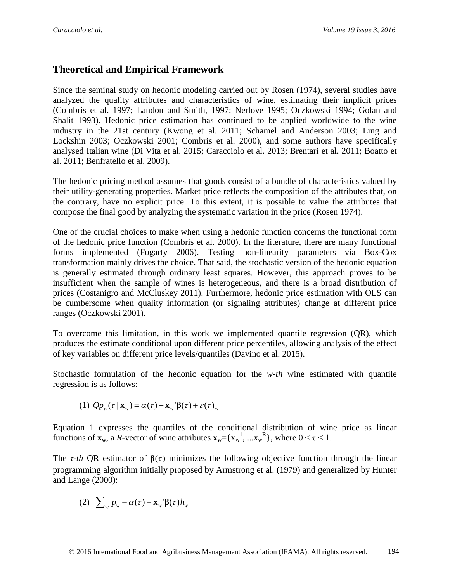### **Theoretical and Empirical Framework**

Since the seminal study on hedonic modeling carried out by Rosen (1974), several studies have analyzed the quality attributes and characteristics of wine, estimating their implicit prices (Combris et al. 1997; Landon and Smith, 1997; Nerlove 1995; Oczkowski 1994; Golan and Shalit 1993). Hedonic price estimation has continued to be applied worldwide to the wine industry in the 21st century (Kwong et al. 2011; Schamel and Anderson 2003; Ling and Lockshin 2003; Oczkowski 2001; Combris et al. 2000), and some authors have specifically analysed Italian wine (Di Vita et al. 2015; Caracciolo et al. 2013; Brentari et al. 2011; Boatto et al. 2011; Benfratello et al. 2009).

The hedonic pricing method assumes that goods consist of a bundle of characteristics valued by their utility-generating properties. Market price reflects the composition of the attributes that, on the contrary, have no explicit price. To this extent, it is possible to value the attributes that compose the final good by analyzing the systematic variation in the price (Rosen 1974).

One of the crucial choices to make when using a hedonic function concerns the functional form of the hedonic price function (Combris et al. 2000). In the literature, there are many functional forms implemented (Fogarty 2006). Testing non-linearity parameters via Box-Cox transformation mainly drives the choice. That said, the stochastic version of the hedonic equation is generally estimated through ordinary least squares. However, this approach proves to be insufficient when the sample of wines is heterogeneous, and there is a broad distribution of prices (Costanigro and McCluskey 2011). Furthermore, hedonic price estimation with OLS can be cumbersome when quality information (or signaling attributes) change at different price ranges (Oczkowski 2001).

To overcome this limitation, in this work we implemented quantile regression (QR), which produces the estimate conditional upon different price percentiles, allowing analysis of the effect of key variables on different price levels/quantiles (Davino et al. 2015).

Stochastic formulation of the hedonic equation for the *w-th* wine estimated with quantile regression is as follows:

(1) 
$$
Qp_w(\tau | \mathbf{x}_w) = \alpha(\tau) + \mathbf{x}_w' \beta(\tau) + \varepsilon(\tau)_w
$$

Equation 1 expresses the quantiles of the conditional distribution of wine price as linear functions of  $\mathbf{x_w}$ , a *R*-vector of wine attributes  $\mathbf{x_w} = \{x_w^1, \dots, x_w^R\}$ , where  $0 \le \tau \le 1$ .

The  $\tau$ *-th* OR estimator of  $\beta(\tau)$  minimizes the following objective function through the linear programming algorithm initially proposed by Armstrong et al. (1979) and generalized by Hunter and Lange (2000):

$$
(2) \sum_{w} \left| p_{w} - \alpha(\tau) + \mathbf{x}_{w}^{\mathsf{T}} \boldsymbol{\beta}(\tau) \right| h_{w}
$$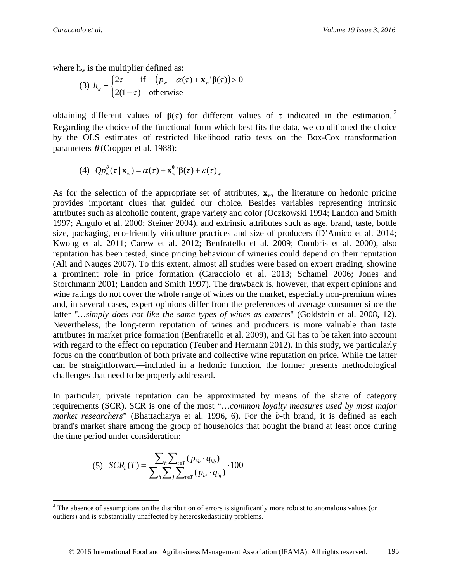where  $h_w$  is the multiplier defined as:

(3) 
$$
h_w = \begin{cases} 2\tau & \text{if } (p_w - \alpha(\tau) + \mathbf{x}_w^{\ \ \ \cdot \mathbf{p}}(\tau)) > 0 \\ 2(1 - \tau) & \text{otherwise} \end{cases}
$$

obtaining different values of  $\beta(\tau)$  for different values of  $\tau$  indicated in the estimation.<sup>[3](#page-4-0)</sup> Regarding the choice of the functional form which best fits the data, we conditioned the choice by the OLS estimates of restricted likelihood ratio tests on the Box-Cox transformation parameters  $\theta$  (Cropper et al. 1988):

(4) 
$$
Qp_w^{\theta}(\tau | \mathbf{x}_w) = \alpha(\tau) + \mathbf{x}_w^{\theta} \mathbf{\cdot} \beta(\tau) + \varepsilon(\tau)_w
$$

As for the selection of the appropriate set of attributes, **x***w*, the literature on hedonic pricing provides important clues that guided our choice. Besides variables representing intrinsic attributes such as alcoholic content, grape variety and color (Oczkowski 1994; Landon and Smith 1997; Angulo et al. 2000; Steiner 2004), and extrinsic attributes such as age, brand, taste, bottle size, packaging, eco-friendly viticulture practices and size of producers (D'Amico et al. 2014; Kwong et al. 2011; Carew et al. 2012; Benfratello et al. 2009; Combris et al. 2000), also reputation has been tested, since pricing behaviour of wineries could depend on their reputation (Ali and Nauges 2007). To this extent, almost all studies were based on expert grading, showing a prominent role in price formation (Caracciolo et al. 2013; Schamel 2006; Jones and Storchmann 2001; Landon and Smith 1997). The drawback is, however, that expert opinions and wine ratings do not cover the whole range of wines on the market, especially non-premium wines and, in several cases, expert opinions differ from the preferences of average consumer since the latter "*…simply does not like the same types of wines as experts*" (Goldstein et al. 2008, 12). Nevertheless, the long-term reputation of wines and producers is more valuable than taste attributes in market price formation (Benfratello et al. 2009), and GI has to be taken into account with regard to the effect on reputation (Teuber and Hermann 2012). In this study, we particularly focus on the contribution of both private and collective wine reputation on price. While the latter can be straightforward—included in a hedonic function, the former presents methodological challenges that need to be properly addressed.

In particular, private reputation can be approximated by means of the share of category requirements (SCR). SCR is one of the most "…*common loyalty measures used by most major market researchers*" (Bhattacharya et al. 1996, 6). For the *b*-th brand, it is defined as each brand's market share among the group of households that bought the brand at least once during the time period under consideration:

(5) 
$$
SCR_b(T) = \frac{\sum_h \sum_{t \in T} (p_{hb} \cdot q_{hb})}{\sum_h \sum_j \sum_{t \in T} (p_{hj} \cdot q_{hj})} \cdot 100.
$$

<span id="page-4-0"></span><sup>&</sup>lt;sup>3</sup> The absence of assumptions on the distribution of errors is significantly more robust to anomalous values (or outliers) and is substantially unaffected by heteroskedasticity problems.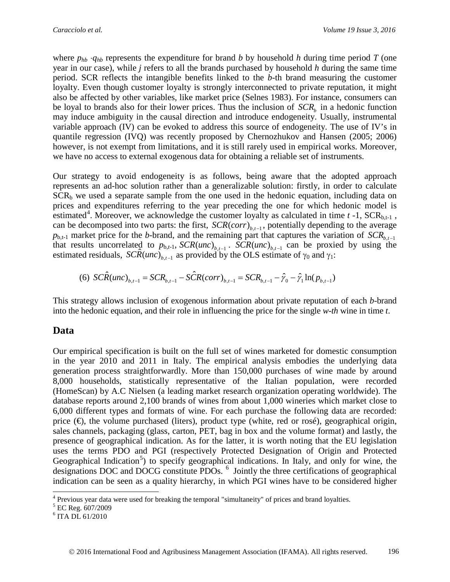where  $p_{hh} \cdot q_{hh}$  represents the expenditure for brand *b* by household *h* during time period *T* (one year in our case), while *j* refers to all the brands purchased by household *h* during the same time period. SCR reflects the intangible benefits linked to the *b*-th brand measuring the customer loyalty. Even though customer loyalty is strongly interconnected to private reputation, it might also be affected by other variables, like market price (Selnes 1983). For instance, consumers can be loyal to brands also for their lower prices. Thus the inclusion of  $SCR<sub>b</sub>$  in a hedonic function may induce ambiguity in the causal direction and introduce endogeneity. Usually, instrumental variable approach (IV) can be evoked to address this source of endogeneity. The use of IV's in quantile regression (IVQ) was recently proposed by Chernozhukov and Hansen (2005; 2006) however, is not exempt from limitations, and it is still rarely used in empirical works. Moreover, we have no access to external exogenous data for obtaining a reliable set of instruments.

Our strategy to avoid endogeneity is as follows, being aware that the adopted approach represents an ad-hoc solution rather than a generalizable solution: firstly, in order to calculate  $SCR<sub>b</sub>$  we used a separate sample from the one used in the hedonic equation, including data on prices and expenditures referring to the year preceding the one for which hedonic model is estimated<sup>[4](#page-5-0)</sup>. Moreover, we acknowledge the customer loyalty as calculated in time  $t - 1$ , SCR<sub>b,t-1</sub>, can be decomposed into two parts: the first,  $SCR(corr)$ <sub>*b*  $t-1$ </sub>, potentially depending to the average  $p_{b,t-1}$  market price for the *b*-brand, and the remaining part that captures the variation of *SCR*<sub> $b$ , −1</sub> that results uncorrelated to  $p_{b,t-1}$ ,  $SCR(unc)_{b,t-1}$ .  $SCR(unc)_{b,t-1}$  can be proxied by using the estimated residuals,  $SC\hat{R}(unc)_{b,t-1}$  as provided by the OLS estimate of  $\gamma_0$  and  $\gamma_1$ :

(6) 
$$
SC\hat{R}(unc)_{b,t-1} = SCR_{b,t-1} - S\hat{C}R(corr)_{b,t-1} = SCR_{b,t-1} - \hat{Y}_0 - \hat{Y}_1 \ln(p_{b,t-1})
$$

This strategy allows inclusion of exogenous information about private reputation of each *b*-brand into the hedonic equation, and their role in influencing the price for the single *w-th* wine in time *t*.

#### **Data**

Our empirical specification is built on the full set of wines marketed for domestic consumption in the year 2010 and 2011 in Italy. The empirical analysis embodies the underlying data generation process straightforwardly. More than 150,000 purchases of wine made by around 8,000 households, statistically representative of the Italian population, were recorded (HomeScan) by A.C Nielsen (a leading market research organization operating worldwide). The database reports around 2,100 brands of wines from about 1,000 wineries which market close to 6,000 different types and formats of wine. For each purchase the following data are recorded: price  $(\Theta)$ , the volume purchased (liters), product type (white, red or rosé), geographical origin, sales channels, packaging (glass, carton, PET, bag in box and the volume format) and lastly, the presence of geographical indication. As for the latter, it is worth noting that the EU legislation uses the terms PDO and PGI (respectively Protected Designation of Origin and Protected Geographical Indication<sup>[5](#page-5-1)</sup>) to specify geographical indications. In Italy, and only for wine, the designations DOC and DOCG constitute PDOs. [6](#page-5-2) Jointly the three certifications of geographical indication can be seen as a quality hierarchy, in which PGI wines have to be considered higher

<span id="page-5-0"></span> $^{4}$  Previous year data were used for breaking the temporal "simultaneity" of prices and brand loyalties.  $^{5}$  EC Reg. 607/2009

<span id="page-5-2"></span><span id="page-5-1"></span> $6$  ITA DL 61/2010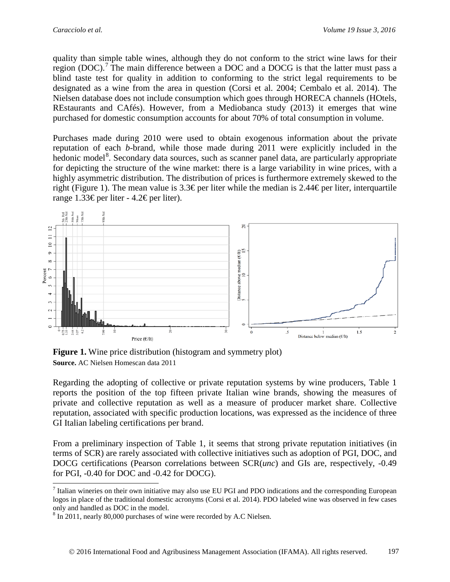quality than simple table wines, although they do not conform to the strict wine laws for their region (DOC).<sup>[7](#page-6-0)</sup> The main difference between a DOC and a DOCG is that the latter must pass a blind taste test for quality in addition to conforming to the strict legal requirements to be designated as a wine from the area in question (Corsi et al. 2004; Cembalo et al. 2014). The Nielsen database does not include consumption which goes through HORECA channels (HOtels, REstaurants and CAfés). However, from a Mediobanca study (2013) it emerges that wine purchased for domestic consumption accounts for about 70% of total consumption in volume.

Purchases made during 2010 were used to obtain exogenous information about the private reputation of each *b*-brand, while those made during 2011 were explicitly included in the hedonic model<sup>[8](#page-6-1)</sup>. Secondary data sources, such as scanner panel data, are particularly appropriate for depicting the structure of the wine market: there is a large variability in wine prices, with a highly asymmetric distribution. The distribution of prices is furthermore extremely skewed to the right (Figure 1). The mean value is 3.3€ per liter while the median is 2.44€ per liter, interquartile range 1.33€ per liter - 4.2€ per liter).



**Figure 1.** Wine price distribution (histogram and symmetry plot) **Source.** AC Nielsen Homescan data 2011

Regarding the adopting of collective or private reputation systems by wine producers, Table 1 reports the position of the top fifteen private Italian wine brands, showing the measures of private and collective reputation as well as a measure of producer market share. Collective reputation, associated with specific production locations, was expressed as the incidence of three GI Italian labeling certifications per brand.

From a preliminary inspection of Table 1, it seems that strong private reputation initiatives (in terms of SCR) are rarely associated with collective initiatives such as adoption of PGI, DOC, and DOCG certifications (Pearson correlations between SCR(*unc*) and GIs are, respectively, -0.49 for PGI, -0.40 for DOC and -0.42 for DOCG).<br>  $\frac{7}{1}$  Italian wineries on their own initiative may also use EU PGI and PDO indications and the corresponding European

<span id="page-6-0"></span>logos in place of the traditional domestic acronyms (Corsi et al. 2014). PDO labeled wine was observed in few cases only and handled as DOC in the model.<br><sup>8</sup> In 2011, nearly 80,000 purchases of wine were recorded by A.C Nielsen.

<span id="page-6-1"></span>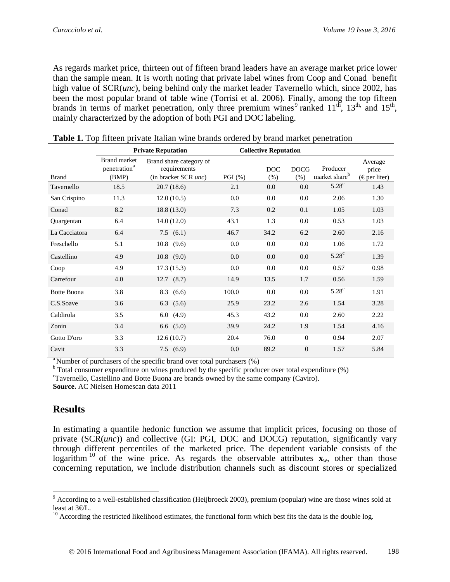As regards market price, thirteen out of fifteen brand leaders have an average market price lower than the sample mean. It is worth noting that private label wines from Coop and Conad benefit high value of SCR(*unc*), being behind only the market leader Tavernello which, since 2002, has been the most popular brand of table wine (Torrisi et al. 2006). Finally, among the top fifteen brands in terms of market penetration, only three premium wines<sup>[9](#page-7-0)</sup> ranked  $11<sup>th</sup>$ ,  $13<sup>th</sup>$ , and  $15<sup>th</sup>$ . mainly characterized by the adoption of both PGI and DOC labeling.

|                    | <b>Private Reputation</b>                                |                                                                         |        | <b>Collective Reputation</b> |                     |                                       |                                                      |
|--------------------|----------------------------------------------------------|-------------------------------------------------------------------------|--------|------------------------------|---------------------|---------------------------------------|------------------------------------------------------|
| <b>Brand</b>       | <b>Brand market</b><br>penetration <sup>a</sup><br>(BMP) | Brand share category of<br>requirements<br>(in bracket SCR <i>unc</i> ) | PGI(%) | <b>DOC</b><br>(% )           | <b>DOCG</b><br>(% ) | Producer<br>market share <sup>b</sup> | Average<br>price<br>$(\epsilon_{\text{per}})$ liter) |
| Tavernello         | 18.5                                                     | 20.7(18.6)                                                              | 2.1    | 0.0                          | 0.0                 | $5.28^{\circ}$                        | 1.43                                                 |
| San Crispino       | 11.3                                                     | 12.0(10.5)                                                              | 0.0    | 0.0                          | 0.0                 | 2.06                                  | 1.30                                                 |
| Conad              | 8.2                                                      | 18.8(13.0)                                                              | 7.3    | 0.2                          | 0.1                 | 1.05                                  | 1.03                                                 |
| Quargentan         | 6.4                                                      | 14.0(12.0)                                                              | 43.1   | 1.3                          | $0.0\,$             | 0.53                                  | 1.03                                                 |
| La Cacciatora      | 6.4                                                      | 7.5(6.1)                                                                | 46.7   | 34.2                         | 6.2                 | 2.60                                  | 2.16                                                 |
| Freschello         | 5.1                                                      | 10.8<br>(9.6)                                                           | 0.0    | 0.0                          | $0.0\,$             | 1.06                                  | 1.72                                                 |
| Castellino         | 4.9                                                      | $10.8$ (9.0)                                                            | 0.0    | 0.0                          | 0.0                 | $5.28^{\circ}$                        | 1.39                                                 |
| Coop               | 4.9                                                      | 17.3(15.3)                                                              | 0.0    | 0.0                          | 0.0                 | 0.57                                  | 0.98                                                 |
| Carrefour          | 4.0                                                      | 12.7(8.7)                                                               | 14.9   | 13.5                         | 1.7                 | 0.56                                  | 1.59                                                 |
| <b>Botte Buona</b> | 3.8                                                      | 8.3(6.6)                                                                | 100.0  | 0.0                          | 0.0                 | $5.28^{\circ}$                        | 1.91                                                 |
| C.S.Soave          | 3.6                                                      | $6.3$ $(5.6)$                                                           | 25.9   | 23.2                         | 2.6                 | 1.54                                  | 3.28                                                 |
| Caldirola          | 3.5                                                      | 6.0(4.9)                                                                | 45.3   | 43.2                         | $0.0\,$             | 2.60                                  | 2.22                                                 |
| Zonin              | 3.4                                                      | 6.6 $(5.0)$                                                             | 39.9   | 24.2                         | 1.9                 | 1.54                                  | 4.16                                                 |
| Gotto D'oro        | 3.3                                                      | 12.6(10.7)                                                              | 20.4   | 76.0                         | $\mathbf{0}$        | 0.94                                  | 2.07                                                 |
| Cavit              | 3.3                                                      | 7.5(6.9)                                                                | 0.0    | 89.2                         | $\boldsymbol{0}$    | 1.57                                  | 5.84                                                 |

|  |  | <b>Table 1.</b> Top fifteen private Italian wine brands ordered by brand market penetration |  |  |  |  |
|--|--|---------------------------------------------------------------------------------------------|--|--|--|--|
|--|--|---------------------------------------------------------------------------------------------|--|--|--|--|

<sup>a</sup> Number of purchasers of the specific brand over total purchasers (%)<br><sup>b</sup> Total consumer expenditure on wines produced by the specific producer over total expenditure (%)

Tavernello, Castellino and Botte Buona are brands owned by the same company (Caviro).

**Source.** AC Nielsen Homescan data 2011

#### **Results**

In estimating a quantile hedonic function we assume that implicit prices, focusing on those of private (SCR(*unc*)) and collective (GI: PGI, DOC and DOCG) reputation, significantly vary through different percentiles of the marketed price. The dependent variable consists of the logarithm <sup>[10](#page-7-1)</sup> of the wine price. As regards the observable attributes  $\mathbf{x}_w$ , other than those concerning reputation, we include distribution channels such as discount stores or specialized

<span id="page-7-0"></span> $9$  According to a well-established classification (Heijbroeck 2003), premium (popular) wine are those wines sold at least at  $3 \in L$ .<br><sup>10</sup> According the restricted likelihood estimates, the functional form which best fits the data is the double log.

<span id="page-7-1"></span>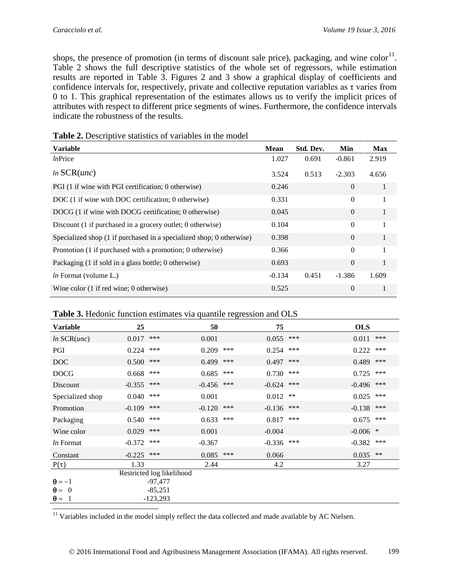shops, the presence of promotion (in terms of discount sale price), packaging, and wine color $^{11}$  $^{11}$  $^{11}$ . Table 2 shows the full descriptive statistics of the whole set of regressors, while estimation results are reported in Table 3. Figures 2 and 3 show a graphical display of coefficients and confidence intervals for, respectively, private and collective reputation variables as τ varies from 0 to 1. This graphical representation of the estimates allows us to verify the implicit prices of attributes with respect to different price segments of wines. Furthermore, the confidence intervals indicate the robustness of the results.

| <b>Variable</b>                                                      | <b>Mean</b> | Std. Dev. | Min            | <b>Max</b> |
|----------------------------------------------------------------------|-------------|-----------|----------------|------------|
| lnPrice                                                              | 1.027       | 0.691     | $-0.861$       | 2.919      |
| $ln$ SCR $(unc)$                                                     | 3.524       | 0.513     | $-2.303$       | 4.656      |
| PGI (1 if wine with PGI certification; 0 otherwise)                  | 0.246       |           | $\Omega$       | 1          |
| DOC (1 if wine with DOC certification; 0 otherwise)                  | 0.331       |           | $\Omega$       |            |
| DOCG (1 if wine with DOCG certification; 0 otherwise)                | 0.045       |           | $\Omega$       | 1          |
| Discount (1 if purchased in a grocery outlet; 0 otherwise)           | 0.104       |           | $\Omega$       |            |
| Specialized shop (1 if purchased in a specialized shop; 0 otherwise) | 0.398       |           | $\Omega$       |            |
| Promotion (1 if purchased with a promotion; 0 otherwise)             | 0.366       |           | $\Omega$       | 1          |
| Packaging (1 if sold in a glass bottle; 0 otherwise)                 | 0.693       |           | $\overline{0}$ | 1          |
| <i>ln</i> Format (volume L.)                                         | $-0.134$    | 0.451     | $-1.386$       | 1.609      |
| Wine color $(1 \text{ if red wine}; 0 \text{ otherwise})$            | 0.525       |           | $\theta$       |            |

**Table 2.** Descriptive statistics of variables in the model

| Table 3. Hedonic function estimates via quantile regression and OLS |  |  |  |  |  |  |
|---------------------------------------------------------------------|--|--|--|--|--|--|
|---------------------------------------------------------------------|--|--|--|--|--|--|

| <b>Variable</b>              | 25       |                           | 50       |     | 75       |       | <b>OLS</b> |      |
|------------------------------|----------|---------------------------|----------|-----|----------|-------|------------|------|
| $ln$ SCR $(unc)$             | 0.017    | ***                       | 0.001    |     | 0.055    | ***   | 0.011      | ***  |
| PGI                          | 0.224    | ***                       | 0.209    | *** | 0.254    | ***   | 0.222      | ***  |
| <b>DOC</b>                   | 0.500    | ***                       | 0.499    | *** | 0.497    | ***   | 0.489      | ***  |
| <b>DOCG</b>                  | 0.668    | ***                       | 0.685    | *** | 0.730    | ***   | 0.725      | ***  |
| Discount                     | $-0.355$ | ***                       | $-0.456$ | *** | $-0.624$ | ***   | -0.496     | ***  |
| Specialized shop             | 0.040    | ***                       | 0.001    |     | 0.012    | $***$ | 0.025      | ***  |
| Promotion                    | $-0.109$ | ***                       | $-0.120$ | *** | $-0.136$ | ***   | $-0.138$   | ***  |
| Packaging                    | 0.540    | ***                       | 0.633    | *** | 0.817    | ***   | 0.675      | ***  |
| Wine color                   | 0.029    | ***                       | 0.001    |     | $-0.004$ |       | $-0.006$ * |      |
| <i>ln</i> Format             | $-0.372$ | ***                       | $-0.367$ |     | $-0.336$ | ***   | $-0.382$   | ***  |
| Constant                     | $-0.225$ | ***                       | 0.085    | *** | 0.066    |       | 0.035      | $**$ |
| $P(\tau)$                    | 1.33     |                           | 2.44     |     | 4.2      |       | 3.27       |      |
|                              |          | Restricted log likelihood |          |     |          |       |            |      |
| $\theta = -1$                |          | $-97,477$                 |          |     |          |       |            |      |
| $\overline{0}$<br>$\theta =$ |          | $-85,251$                 |          |     |          |       |            |      |
| $\theta =$<br>1              |          | $-123,293$                |          |     |          |       |            |      |

<span id="page-8-0"></span> $11$  Variables included in the model simply reflect the data collected and made available by AC Nielsen.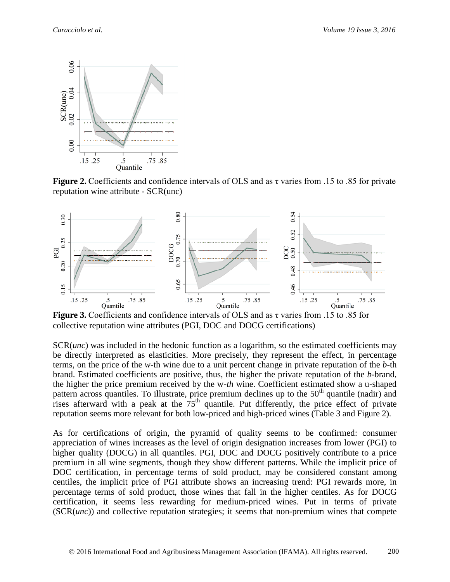

**Figure 2.** Coefficients and confidence intervals of OLS and as τ varies from .15 to .85 for private reputation wine attribute - SCR(unc)



**Figure 3.** Coefficients and confidence intervals of OLS and as τ varies from .15 to .85 for collective reputation wine attributes (PGI, DOC and DOCG certifications)

SCR(*unc*) was included in the hedonic function as a logarithm, so the estimated coefficients may be directly interpreted as elasticities. More precisely, they represent the effect, in percentage terms, on the price of the *w*-th wine due to a unit percent change in private reputation of the *b*-th brand. Estimated coefficients are positive, thus, the higher the private reputation of the *b*-brand, the higher the price premium received by the w-*th* wine. Coefficient estimated show a u-shaped pattern across quantiles. To illustrate, price premium declines up to the 50<sup>th</sup> quantile (nadir) and rises afterward with a peak at the  $75<sup>th</sup>$  quantile. Put differently, the price effect of private reputation seems more relevant for both low-priced and high-priced wines (Table 3 and Figure 2).

As for certifications of origin, the pyramid of quality seems to be confirmed: consumer appreciation of wines increases as the level of origin designation increases from lower (PGI) to higher quality (DOCG) in all quantiles. PGI, DOC and DOCG positively contribute to a price premium in all wine segments, though they show different patterns. While the implicit price of DOC certification, in percentage terms of sold product, may be considered constant among centiles, the implicit price of PGI attribute shows an increasing trend: PGI rewards more, in percentage terms of sold product, those wines that fall in the higher centiles. As for DOCG certification, it seems less rewarding for medium-priced wines. Put in terms of private (SCR(*unc*)) and collective reputation strategies; it seems that non-premium wines that compete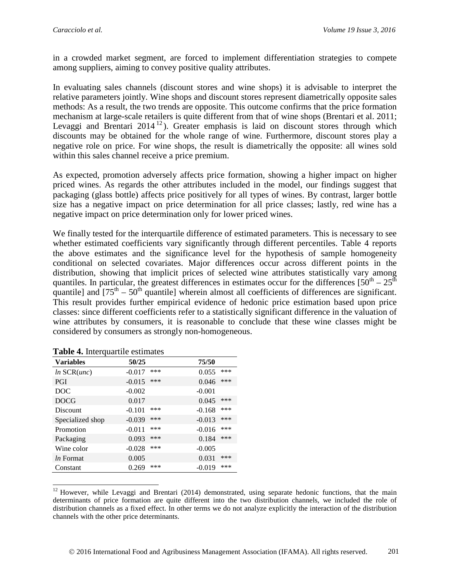in a crowded market segment, are forced to implement differentiation strategies to compete among suppliers, aiming to convey positive quality attributes.

In evaluating sales channels (discount stores and wine shops) it is advisable to interpret the relative parameters jointly. Wine shops and discount stores represent diametrically opposite sales methods: As a result, the two trends are opposite. This outcome confirms that the price formation mechanism at large-scale retailers is quite different from that of wine shops (Brentari et al. 2011; Levaggi and Brentari  $2014^{12}$  $2014^{12}$  $2014^{12}$ ). Greater emphasis is laid on discount stores through which discounts may be obtained for the whole range of wine. Furthermore, discount stores play a negative role on price. For wine shops, the result is diametrically the opposite: all wines sold within this sales channel receive a price premium.

As expected, promotion adversely affects price formation, showing a higher impact on higher priced wines. As regards the other attributes included in the model, our findings suggest that packaging (glass bottle) affects price positively for all types of wines. By contrast, larger bottle size has a negative impact on price determination for all price classes; lastly, red wine has a negative impact on price determination only for lower priced wines.

We finally tested for the interquartile difference of estimated parameters. This is necessary to see whether estimated coefficients vary significantly through different percentiles. Table 4 reports the above estimates and the significance level for the hypothesis of sample homogeneity conditional on selected covariates. Major differences occur across different points in the distribution, showing that implicit prices of selected wine attributes statistically vary among quantiles. In particular, the greatest differences in estimates occur for the differences  $[50<sup>th</sup> - 25<sup>th</sup>$ quantile] and  $[75<sup>th</sup> - 50<sup>th</sup>$  quantile] wherein almost all coefficients of differences are significant. This result provides further empirical evidence of hedonic price estimation based upon price classes: since different coefficients refer to a statistically significant difference in the valuation of wine attributes by consumers, it is reasonable to conclude that these wine classes might be considered by consumers as strongly non-homogeneous.

| <b>Variables</b> | 50/25    |     | 75/50    |     |
|------------------|----------|-----|----------|-----|
| $ln$ SCR $(unc)$ | $-0.017$ | *** | 0.055    | *** |
| <b>PGI</b>       | $-0.015$ | *** | 0.046    | *** |
| DOC              | $-0.002$ |     | $-0.001$ |     |
| <b>DOCG</b>      | 0.017    |     | 0.045    | *** |
| <b>Discount</b>  | $-0.101$ | *** | $-0.168$ | *** |
| Specialized shop | $-0.039$ | *** | $-0.013$ | *** |
| Promotion        | $-0.011$ | *** | $-0.016$ | *** |
| Packaging        | 0.093    | *** | 0.184    | *** |
| Wine color       | $-0.028$ | *** | $-0.005$ |     |
| <i>ln</i> Format | 0.005    |     | 0.031    | *** |
| Constant         | 0.269    | *** | $-0.019$ | *** |

**Table 4.** Interquartile estimates

<span id="page-10-0"></span> $12$  However, while Levaggi and Brentari (2014) demonstrated, using separate hedonic functions, that the main determinants of price formation are quite different into the two distribution channels, we included the role of distribution channels as a fixed effect. In other terms we do not analyze explicitly the interaction of the distribution channels with the other price determinants.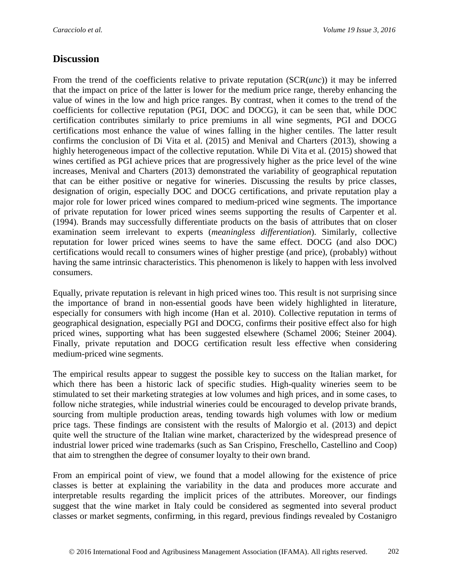#### **Discussion**

From the trend of the coefficients relative to private reputation (SCR(*unc*)) it may be inferred that the impact on price of the latter is lower for the medium price range, thereby enhancing the value of wines in the low and high price ranges. By contrast, when it comes to the trend of the coefficients for collective reputation (PGI, DOC and DOCG), it can be seen that, while DOC certification contributes similarly to price premiums in all wine segments, PGI and DOCG certifications most enhance the value of wines falling in the higher centiles. The latter result confirms the conclusion of Di Vita et al. (2015) and Menival and Charters (2013), showing a highly heterogeneous impact of the collective reputation. While Di Vita et al. (2015) showed that wines certified as PGI achieve prices that are progressively higher as the price level of the wine increases, Menival and Charters (2013) demonstrated the variability of geographical reputation that can be either positive or negative for wineries. Discussing the results by price classes, designation of origin, especially DOC and DOCG certifications, and private reputation play a major role for lower priced wines compared to medium-priced wine segments. The importance of private reputation for lower priced wines seems supporting the results of Carpenter et al. (1994). Brands may successfully differentiate products on the basis of attributes that on closer examination seem irrelevant to experts (*meaningless differentiation*). Similarly, collective reputation for lower priced wines seems to have the same effect. DOCG (and also DOC) certifications would recall to consumers wines of higher prestige (and price), (probably) without having the same intrinsic characteristics. This phenomenon is likely to happen with less involved consumers.

Equally, private reputation is relevant in high priced wines too. This result is not surprising since the importance of brand in non-essential goods have been widely highlighted in literature, especially for consumers with high income (Han et al. 2010). Collective reputation in terms of geographical designation, especially PGI and DOCG, confirms their positive effect also for high priced wines, supporting what has been suggested elsewhere (Schamel 2006; Steiner 2004). Finally, private reputation and DOCG certification result less effective when considering medium-priced wine segments.

The empirical results appear to suggest the possible key to success on the Italian market, for which there has been a historic lack of specific studies. High-quality wineries seem to be stimulated to set their marketing strategies at low volumes and high prices, and in some cases, to follow niche strategies, while industrial wineries could be encouraged to develop private brands, sourcing from multiple production areas, tending towards high volumes with low or medium price tags. These findings are consistent with the results of Malorgio et al. (2013) and depict quite well the structure of the Italian wine market, characterized by the widespread presence of industrial lower priced wine trademarks (such as San Crispino, Freschello, Castellino and Coop) that aim to strengthen the degree of consumer loyalty to their own brand.

From an empirical point of view, we found that a model allowing for the existence of price classes is better at explaining the variability in the data and produces more accurate and interpretable results regarding the implicit prices of the attributes. Moreover, our findings suggest that the wine market in Italy could be considered as segmented into several product classes or market segments, confirming, in this regard, previous findings revealed by Costanigro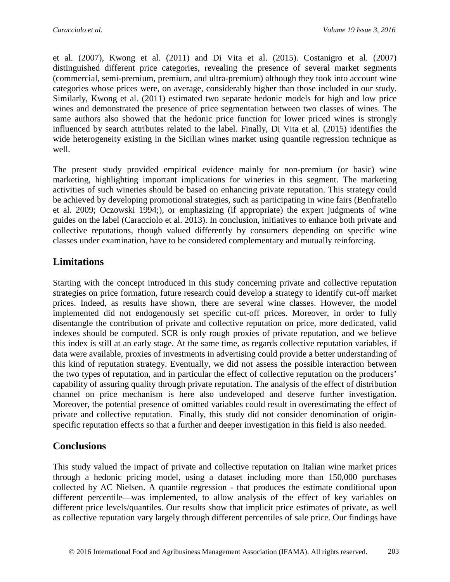et al. (2007), Kwong et al. (2011) and Di Vita et al. (2015). Costanigro et al. (2007) distinguished different price categories, revealing the presence of several market segments (commercial, semi-premium, premium, and ultra-premium) although they took into account wine categories whose prices were, on average, considerably higher than those included in our study. Similarly, Kwong et al. (2011) estimated two separate hedonic models for high and low price wines and demonstrated the presence of price segmentation between two classes of wines. The same authors also showed that the hedonic price function for lower priced wines is strongly influenced by search attributes related to the label. Finally, Di Vita et al. (2015) identifies the wide heterogeneity existing in the Sicilian wines market using quantile regression technique as well.

The present study provided empirical evidence mainly for non-premium (or basic) wine marketing, highlighting important implications for wineries in this segment. The marketing activities of such wineries should be based on enhancing private reputation. This strategy could be achieved by developing promotional strategies, such as participating in wine fairs (Benfratello et al. 2009; Oczowski 1994;), or emphasizing (if appropriate) the expert judgments of wine guides on the label (Caracciolo et al. 2013). In conclusion, initiatives to enhance both private and collective reputations, though valued differently by consumers depending on specific wine classes under examination, have to be considered complementary and mutually reinforcing.

## **Limitations**

Starting with the concept introduced in this study concerning private and collective reputation strategies on price formation, future research could develop a strategy to identify cut-off market prices. Indeed, as results have shown, there are several wine classes. However, the model implemented did not endogenously set specific cut-off prices. Moreover, in order to fully disentangle the contribution of private and collective reputation on price, more dedicated, valid indexes should be computed. SCR is only rough proxies of private reputation, and we believe this index is still at an early stage. At the same time, as regards collective reputation variables, if data were available, proxies of investments in advertising could provide a better understanding of this kind of reputation strategy. Eventually, we did not assess the possible interaction between the two types of reputation, and in particular the effect of collective reputation on the producers' capability of assuring quality through private reputation. The analysis of the effect of distribution channel on price mechanism is here also undeveloped and deserve further investigation. Moreover, the potential presence of omitted variables could result in overestimating the effect of private and collective reputation. Finally, this study did not consider denomination of originspecific reputation effects so that a further and deeper investigation in this field is also needed.

### **Conclusions**

This study valued the impact of private and collective reputation on Italian wine market prices through a hedonic pricing model, using a dataset including more than 150,000 purchases collected by AC Nielsen. A quantile regression - that produces the estimate conditional upon different percentile—was implemented, to allow analysis of the effect of key variables on different price levels/quantiles. Our results show that implicit price estimates of private, as well as collective reputation vary largely through different percentiles of sale price. Our findings have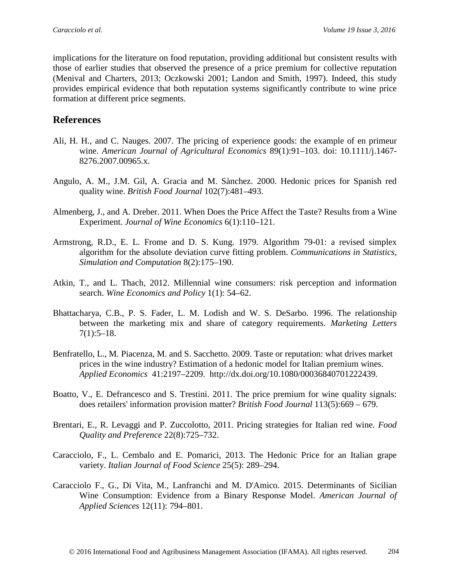implications for the literature on food reputation, providing additional but consistent results with those of earlier studies that observed the presence of a price premium for collective reputation (Menival and Charters, 2013; Oczkowski 2001; Landon and Smith, 1997). Indeed, this study provides empirical evidence that both reputation systems significantly contribute to wine price formation at different price segments.

### **References**

- Ali, H. H., and C. Nauges. 2007. The pricing of experience goods: the example of en primeur wine. *American Journal of Agricultural Economics* 89(1):91–103. doi: 10.1111/j.1467- 8276.2007.00965.x.
- Angulo, A. M., J.M. Gil, A. Gracia and M. Sànchez. 2000. Hedonic prices for Spanish red quality wine. *British Food Journal* 102(7):481–493.
- Almenberg, J., and A. Dreber. 2011. When Does the Price Affect the Taste? Results from a Wine Experiment. *Journal of Wine Economics* 6(1):110–121.
- Armstrong, R.D., E. L. Frome and D. S. Kung. 1979. Algorithm 79-01: a revised simplex algorithm for the absolute deviation curve fitting problem. *Communications in Statistics, Simulation and Computation* 8(2):175–190.
- Atkin, T., and L. Thach, 2012. Millennial wine consumers: risk perception and information search. *Wine Economics and Policy* 1(1): 54–62.
- Bhattacharya, C.B., P. S. Fader, L. M. Lodish and W. S. DeSarbo. 1996. The relationship between the marketing mix and share of category requirements. *Marketing Letters*  $7(1):5-18.$
- Benfratello, L., M. Piacenza, M. and S. Sacchetto. 2009. Taste or reputation: what drives market prices in the wine industry? Estimation of a hedonic model for Italian premium wines. *Applied Economics* 41:2197–2209. http://dx.doi.org/10.1080/00036840701222439.
- Boatto, V., E. Defrancesco and S. Trestini. 2011. The price premium for wine quality signals: does retailers' information provision matter? *British Food Journal* 113(5):669 – 679.
- Brentari, E., R. Levaggi and P. Zuccolotto, 2011. Pricing strategies for Italian red wine. *Food Quality and Preference* 22(8):725–732.
- Caracciolo, F., L. Cembalo and E. Pomarici, 2013. The Hedonic Price for an Italian grape variety. *Italian Journal of Food Science* 25(5): 289–294.
- Caracciolo F., G., Di Vita, M., Lanfranchi and M. D'Amico. 2015. Determinants of Sicilian Wine Consumption: Evidence from a Binary Response Model. *American Journal of Applied Sciences* 12(11): 794–801.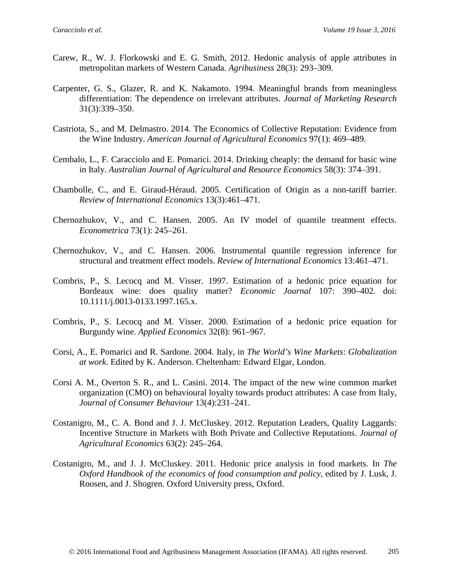- Carew, R., W. J. Florkowski and E. G. Smith, 2012. Hedonic analysis of apple attributes in metropolitan markets of Western Canada. *Agribusiness* 28(3): 293–309.
- Carpenter, G. S., Glazer, R. and K. Nakamoto. 1994. Meaningful brands from meaningless differentiation: The dependence on irrelevant attributes. *Journal of Marketing Research* 31(3):339–350.
- Castriota, S., and M. Delmastro. 2014. The Economics of Collective Reputation: Evidence from the Wine Industry. *American Journal of Agricultural Economics* 97(1): 469–489.
- Cembalo, L., F. Caracciolo and E. Pomarici. 2014. Drinking cheaply: the demand for basic wine in Italy. *Australian Journal of Agricultural and Resource Economics* 58(3): 374–391.
- Chambolle, C., and E. Giraud-Héraud. 2005. Certification of Origin as a non-tariff barrier. *Review of International Economics* 13(3):461–471.
- Chernozhukov, V., and C. Hansen. 2005. An IV model of quantile treatment effects. *Econometrica* 73(1): 245–261.
- Chernozhukov, V., and C. Hansen. 2006. Instrumental quantile regression inference for structural and treatment effect models. *Review of International Economics* 13:461–471.
- Combris, P., S. Lecocq and M. Visser. 1997. Estimation of a hedonic price equation for Bordeaux wine: does quality matter? *Economic Journal* 107: 390–402. doi: 10.1111/j.0013-0133.1997.165.x.
- Combris, P., S. Lecocq and M. Visser. 2000. Estimation of a hedonic price equation for Burgundy wine. *Applied Economics* 32(8): 961–967.
- Corsi, A., E. Pomarici and R. Sardone. 2004. Italy, in *The World's Wine Markets*: *Globalization at work*. Edited by K. Anderson. Cheltenham: Edward Elgar, London.
- Corsi A. M., Overton S. R., and L. Casini. 2014. The impact of the new wine common market organization (CMO) on behavioural loyalty towards product attributes: A case from Italy, *Journal of Consumer Behaviour* 13(4):231–241.
- Costanigro, M., C. A. Bond and J. J. McCluskey. 2012. Reputation Leaders, Quality Laggards: Incentive Structure in Markets with Both Private and Collective Reputations. *Journal of Agricultural Economics* 63(2): 245–264.
- Costanigro, M., and J. J. McCluskey. 2011. Hedonic price analysis in food markets. In *The Oxford Handbook of the economics of food consumption and policy*, edited by J. Lusk, J. Roosen, and J. Shogren. Oxford University press, Oxford.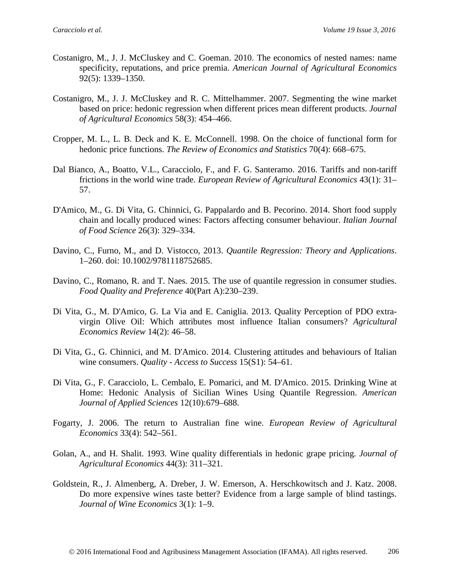- Costanigro, M., J. J. McCluskey and C. Goeman. 2010. The economics of nested names: name specificity, reputations, and price premia. *American Journal of Agricultural Economics* 92(5): 1339–1350.
- Costanigro, M., J. J. McCluskey and R. C. Mittelhammer. 2007. Segmenting the wine market based on price: hedonic regression when different prices mean different products. *Journal of Agricultural Economics* 58(3): 454–466.
- Cropper, M. L., L. B. Deck and K. E. McConnell. 1998. On the choice of functional form for hedonic price functions. *The Review of Economics and Statistics* 70(4): 668–675.
- Dal Bianco, A., Boatto, V.L., Caracciolo, F., and F. G. Santeramo. 2016. Tariffs and non-tariff frictions in the world wine trade. *European Review of Agricultural Economics* 43(1): 31– 57.
- D'Amico, M., G. Di Vita, G. Chinnici, G. Pappalardo and B. Pecorino. 2014. Short food supply chain and locally produced wines: Factors affecting consumer behaviour. *Italian Journal of Food Science* 26(3): 329–334.
- Davino, C., Furno, M., and D. Vistocco, 2013. *Quantile Regression: Theory and Applications*. 1–260. doi: 10.1002/9781118752685.
- Davino, C., Romano, R. and T. Naes. 2015. The use of quantile regression in consumer studies. *Food Quality and Preference* 40(Part A):230–239.
- Di Vita, G., M. D'Amico, G. La Via and E. Caniglia. 2013. Quality Perception of PDO extravirgin Olive Oil: Which attributes most influence Italian consumers? *Agricultural Economics Review* 14(2): 46–58.
- Di Vita, G., G. Chinnici, and M. D'Amico. 2014. Clustering attitudes and behaviours of Italian wine consumers. *Quality - Access to Success* 15(S1): 54–61.
- Di Vita, G., F. Caracciolo, L. Cembalo, E. Pomarici, and M. D'Amico. 2015. Drinking Wine at Home: Hedonic Analysis of Sicilian Wines Using Quantile Regression. *American Journal of Applied Sciences* 12(10):679–688.
- Fogarty, J. 2006. The return to Australian fine wine. *European Review of Agricultural Economics* 33(4): 542–561.
- Golan, A., and H. Shalit. 1993. Wine quality differentials in hedonic grape pricing. *Journal of Agricultural Economics* 44(3): 311–321.
- Goldstein, R., J. Almenberg, A. Dreber, J. W. Emerson, A. Herschkowitsch and J. Katz. 2008. Do more expensive wines taste better? Evidence from a large sample of blind tastings. *Journal of Wine Economics* 3(1): 1–9.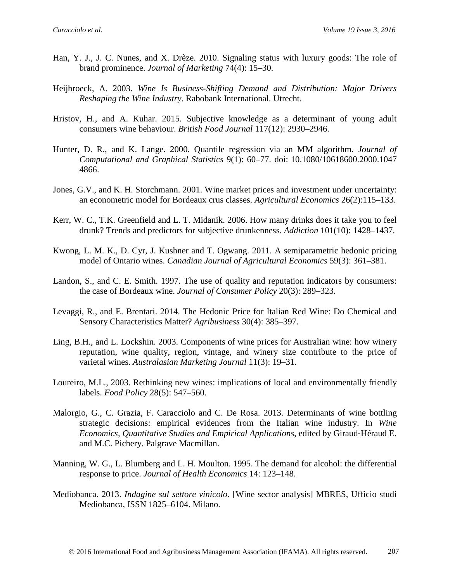- Han, Y. J., J. C. Nunes, and X. Drèze. 2010. Signaling status with luxury goods: The role of brand prominence. *Journal of Marketing* 74(4): 15–30.
- Heijbroeck, A. 2003. *Wine Is Business-Shifting Demand and Distribution: Major Drivers Reshaping the Wine Industry*. Rabobank International. Utrecht.
- Hristov, H., and A. Kuhar. 2015. Subjective knowledge as a determinant of young adult consumers wine behaviour. *British Food Journal* 117(12): 2930–2946.
- Hunter, D. R., and K. Lange. 2000. Quantile regression via an MM algorithm. *Journal of Computational and Graphical Statistics* 9(1): 60–77. doi: 10.1080/10618600.2000.1047 4866.
- Jones, G.V., and K. H. Storchmann. 2001. Wine market prices and investment under uncertainty: an econometric model for Bordeaux crus classes. *Agricultural Economics* 26(2):115–133.
- Kerr, W. C., T.K. Greenfield and L. T. Midanik. 2006. How many drinks does it take you to feel drunk? Trends and predictors for subjective drunkenness. *Addiction* 101(10): 1428–1437.
- Kwong, L. M. K., D. Cyr, J. Kushner and T. Ogwang. 2011. A semiparametric hedonic pricing model of Ontario wines. *Canadian Journal of Agricultural Economics* 59(3): 361–381.
- Landon, S., and C. E. Smith. 1997. The use of quality and reputation indicators by consumers: the case of Bordeaux wine. *Journal of Consumer Policy* 20(3): 289–323.
- Levaggi, R., and E. Brentari. 2014. The Hedonic Price for Italian Red Wine: Do Chemical and Sensory Characteristics Matter? *Agribusiness* 30(4): 385–397.
- Ling, B.H., and L. Lockshin. 2003. Components of wine prices for Australian wine: how winery reputation, wine quality, region, vintage, and winery size contribute to the price of varietal wines. *Australasian Marketing Journal* 11(3): 19–31.
- Loureiro, M.L., 2003. Rethinking new wines: implications of local and environmentally friendly labels. *Food Policy* 28(5): 547–560.
- Malorgio, G., C. Grazia, F. Caracciolo and C. De Rosa. 2013. Determinants of wine bottling strategic decisions: empirical evidences from the Italian wine industry. In *Wine Economics, Quantitative Studies and Empirical Applications*, edited by Giraud‐Héraud E. and M.C. Pichery. Palgrave Macmillan.
- Manning, W. G., L. Blumberg and L. H. Moulton. 1995. The demand for alcohol: the differential response to price. *Journal of Health Economics* 14: 123–148.
- Mediobanca. 2013. *Indagine sul settore vinicolo*. [Wine sector analysis] MBRES, Ufficio studi Mediobanca, ISSN 1825–6104. Milano.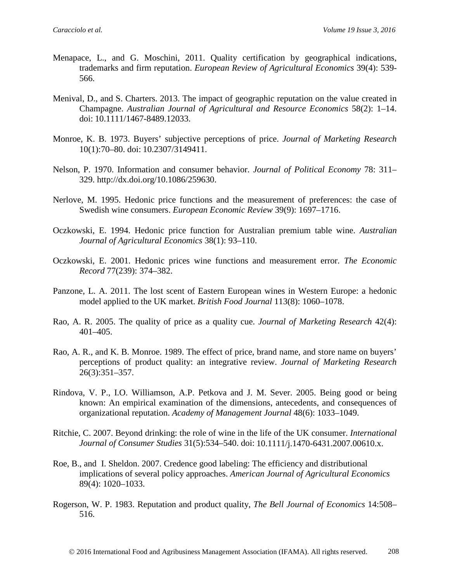- Menapace, L., and G. Moschini, 2011. Quality certification by geographical indications, trademarks and firm reputation. *European Review of Agricultural Economics* 39(4): 539- 566.
- Menival, D., and S. Charters. 2013. The impact of geographic reputation on the value created in Champagne. *Australian Journal of Agricultural and Resource Economics* 58(2): 1–14. doi: 10.1111/1467-8489.12033.
- Monroe, K. B. 1973. Buyers' subjective perceptions of price. *Journal of Marketing Research* 10(1):70–80. doi: 10.2307/3149411.
- Nelson, P. 1970. Information and consumer behavior. *Journal of Political Economy* 78: 311– 329. http://dx.doi.org/10.1086/259630.
- Nerlove, M. 1995. Hedonic price functions and the measurement of preferences: the case of Swedish wine consumers. *European Economic Review* 39(9): 1697–1716.
- Oczkowski, E. 1994. Hedonic price function for Australian premium table wine. *Australian Journal of Agricultural Economics* 38(1): 93–110.
- Oczkowski, E. 2001. Hedonic prices wine functions and measurement error. *The Economic Record* 77(239): 374–382.
- Panzone, L. A. 2011. The lost scent of Eastern European wines in Western Europe: a hedonic model applied to the UK market. *British Food Journal* 113(8): 1060–1078.
- Rao, A. R. 2005. The quality of price as a quality cue. *Journal of Marketing Research* 42(4): 401–405.
- Rao, A. R., and K. B. Monroe. 1989. The effect of price, brand name, and store name on buyers' perceptions of product quality: an integrative review. *Journal of Marketing Research* 26(3):351–357.
- Rindova, V. P., I.O. Williamson, A.P. Petkova and J. M. Sever. 2005. Being good or being known: An empirical examination of the dimensions, antecedents, and consequences of organizational reputation. *Academy of Management Journal* 48(6): 1033–1049.
- Ritchie, C. 2007. Beyond drinking: the role of wine in the life of the UK consumer. *International Journal of Consumer Studies* 31(5):534–540. doi: 10.1111/j.1470-6431.2007.00610.x.
- Roe, B., and I. Sheldon. 2007. Credence good labeling: The efficiency and distributional implications of several policy approaches. *American Journal of Agricultural Economics* 89(4): 1020–1033.
- Rogerson, W. P. 1983. Reputation and product quality, *The Bell Journal of Economics* 14:508– 516.